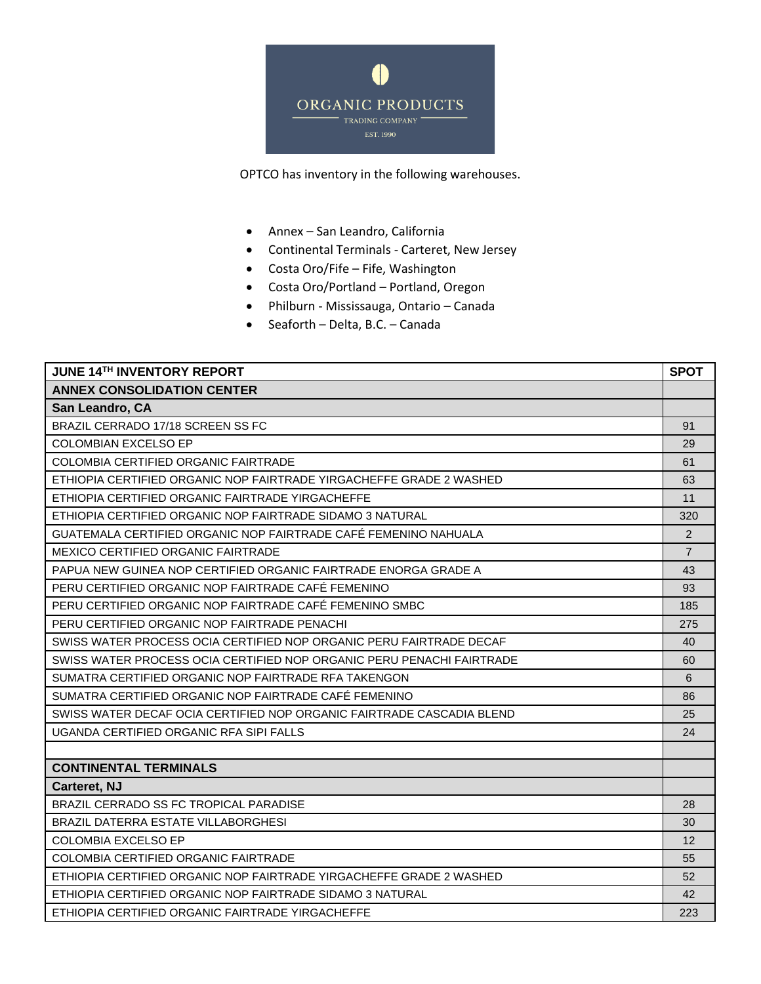

OPTCO has inventory in the following warehouses.

- Annex San Leandro, California
- Continental Terminals Carteret, New Jersey
- Costa Oro/Fife Fife, Washington
- Costa Oro/Portland Portland, Oregon
- Philburn Mississauga, Ontario Canada
- Seaforth Delta, B.C. Canada

| <b>JUNE 14TH INVENTORY REPORT</b>                                     | <b>SPOT</b>    |
|-----------------------------------------------------------------------|----------------|
| <b>ANNEX CONSOLIDATION CENTER</b>                                     |                |
| San Leandro, CA                                                       |                |
| BRAZIL CERRADO 17/18 SCREEN SS FC                                     | 91             |
| <b>COLOMBIAN EXCELSO EP</b>                                           | 29             |
| <b>COLOMBIA CERTIFIED ORGANIC FAIRTRADE</b>                           | 61             |
| ETHIOPIA CERTIFIED ORGANIC NOP FAIRTRADE YIRGACHEFFE GRADE 2 WASHED   | 63             |
| ETHIOPIA CERTIFIED ORGANIC FAIRTRADE YIRGACHEFFE                      | 11             |
| ETHIOPIA CERTIFIED ORGANIC NOP FAIRTRADE SIDAMO 3 NATURAL             | 320            |
| GUATEMALA CERTIFIED ORGANIC NOP FAIRTRADE CAFÉ FEMENINO NAHUALA       | 2              |
| MEXICO CERTIFIED ORGANIC FAIRTRADE                                    | $\overline{7}$ |
| PAPUA NEW GUINEA NOP CERTIFIED ORGANIC FAIRTRADE ENORGA GRADE A       | 43             |
| PERU CERTIFIED ORGANIC NOP FAIRTRADE CAFÉ FEMENINO                    | 93             |
| PERU CERTIFIED ORGANIC NOP FAIRTRADE CAFÉ FEMENINO SMBC               | 185            |
| PERU CERTIFIED ORGANIC NOP FAIRTRADE PENACHI                          | 275            |
| SWISS WATER PROCESS OCIA CERTIFIED NOP ORGANIC PERU FAIRTRADE DECAF   | 40             |
| SWISS WATER PROCESS OCIA CERTIFIED NOP ORGANIC PERU PENACHI FAIRTRADE | 60             |
| SUMATRA CERTIFIED ORGANIC NOP FAIRTRADE RFA TAKENGON                  | 6              |
| SUMATRA CERTIFIED ORGANIC NOP FAIRTRADE CAFÉ FEMENINO                 | 86             |
| SWISS WATER DECAF OCIA CERTIFIED NOP ORGANIC FAIRTRADE CASCADIA BLEND | 25             |
| UGANDA CERTIFIED ORGANIC RFA SIPI FALLS                               | 24             |
|                                                                       |                |
| <b>CONTINENTAL TERMINALS</b>                                          |                |
| Carteret, NJ                                                          |                |
| BRAZIL CERRADO SS FC TROPICAL PARADISE                                | 28             |
| BRAZIL DATERRA ESTATE VILLABORGHESI                                   | 30             |
| <b>COLOMBIA EXCELSO EP</b>                                            | 12             |
| <b>COLOMBIA CERTIFIED ORGANIC FAIRTRADE</b>                           | 55             |
| ETHIOPIA CERTIFIED ORGANIC NOP FAIRTRADE YIRGACHEFFE GRADE 2 WASHED   | 52             |
| ETHIOPIA CERTIFIED ORGANIC NOP FAIRTRADE SIDAMO 3 NATURAL             | 42             |
| ETHIOPIA CERTIFIED ORGANIC FAIRTRADE YIRGACHEFFE                      | 223            |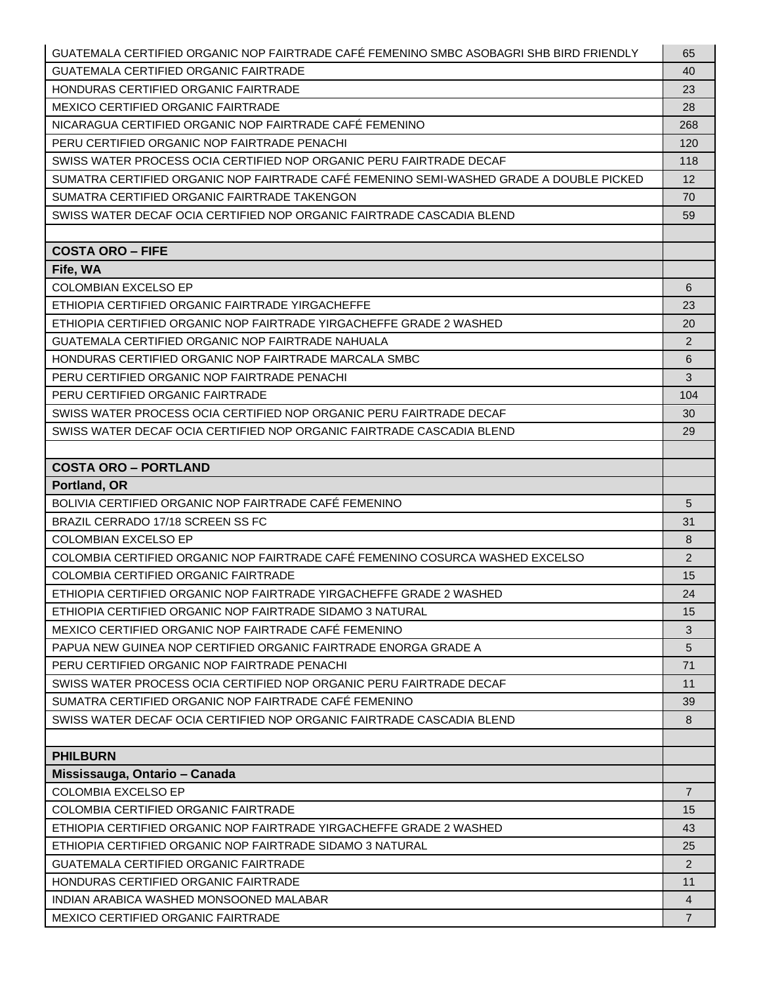| GUATEMALA CERTIFIED ORGANIC NOP FAIRTRADE CAFÉ FEMENINO SMBC ASOBAGRI SHB BIRD FRIENDLY | 65                |
|-----------------------------------------------------------------------------------------|-------------------|
| GUATEMALA CERTIFIED ORGANIC FAIRTRADE                                                   | 40                |
| HONDURAS CERTIFIED ORGANIC FAIRTRADE                                                    | 23                |
| <b>MEXICO CERTIFIED ORGANIC FAIRTRADE</b>                                               | 28                |
| NICARAGUA CERTIFIED ORGANIC NOP FAIRTRADE CAFÉ FEMENINO                                 | 268               |
| PERU CERTIFIED ORGANIC NOP FAIRTRADE PENACHI                                            | 120               |
| SWISS WATER PROCESS OCIA CERTIFIED NOP ORGANIC PERU FAIRTRADE DECAF                     | 118               |
| SUMATRA CERTIFIED ORGANIC NOP FAIRTRADE CAFÉ FEMENINO SEMI-WASHED GRADE A DOUBLE PICKED | $12 \overline{ }$ |
| SUMATRA CERTIFIED ORGANIC FAIRTRADE TAKENGON                                            | 70                |
| SWISS WATER DECAF OCIA CERTIFIED NOP ORGANIC FAIRTRADE CASCADIA BLEND                   | 59                |
|                                                                                         |                   |
| <b>COSTA ORO - FIFE</b>                                                                 |                   |
| Fife, WA                                                                                |                   |
| <b>COLOMBIAN EXCELSO EP</b>                                                             | 6                 |
| ETHIOPIA CERTIFIED ORGANIC FAIRTRADE YIRGACHEFFE                                        | 23                |
| ETHIOPIA CERTIFIED ORGANIC NOP FAIRTRADE YIRGACHEFFE GRADE 2 WASHED                     | 20                |
| <b>GUATEMALA CERTIFIED ORGANIC NOP FAIRTRADE NAHUALA</b>                                | 2                 |
| HONDURAS CERTIFIED ORGANIC NOP FAIRTRADE MARCALA SMBC                                   | 6                 |
| PERU CERTIFIED ORGANIC NOP FAIRTRADE PENACHI                                            | 3                 |
| PERU CERTIFIED ORGANIC FAIRTRADE                                                        | 104               |
| SWISS WATER PROCESS OCIA CERTIFIED NOP ORGANIC PERU FAIRTRADE DECAF                     | 30                |
| SWISS WATER DECAF OCIA CERTIFIED NOP ORGANIC FAIRTRADE CASCADIA BLEND                   | 29                |
| <b>COSTA ORO - PORTLAND</b>                                                             |                   |
| Portland, OR                                                                            |                   |
| BOLIVIA CERTIFIED ORGANIC NOP FAIRTRADE CAFÉ FEMENINO                                   | 5                 |
| BRAZIL CERRADO 17/18 SCREEN SS FC                                                       | 31                |
| COLOMBIAN EXCELSO EP                                                                    | 8                 |
| COLOMBIA CERTIFIED ORGANIC NOP FAIRTRADE CAFÉ FEMENINO COSURCA WASHED EXCELSO           | 2                 |
| <b>COLOMBIA CERTIFIED ORGANIC FAIRTRADE</b>                                             | 15                |
| ETHIOPIA CERTIFIED ORGANIC NOP FAIRTRADE YIRGACHEFFE GRADE 2 WASHED                     | 24                |
| ETHIOPIA CERTIFIED ORGANIC NOP FAIRTRADE SIDAMO 3 NATURAL                               | 15                |
| MEXICO CERTIFIED ORGANIC NOP FAIRTRADE CAFE FEMENINO                                    | 3                 |
| PAPUA NEW GUINEA NOP CERTIFIED ORGANIC FAIRTRADE ENORGA GRADE A                         | 5                 |
| PERU CERTIFIED ORGANIC NOP FAIRTRADE PENACHI                                            | 71                |
| SWISS WATER PROCESS OCIA CERTIFIED NOP ORGANIC PERU FAIRTRADE DECAF                     | 11                |
| SUMATRA CERTIFIED ORGANIC NOP FAIRTRADE CAFÉ FEMENINO                                   | 39                |
| SWISS WATER DECAF OCIA CERTIFIED NOP ORGANIC FAIRTRADE CASCADIA BLEND                   | 8                 |
|                                                                                         |                   |
| <b>PHILBURN</b>                                                                         |                   |
| Mississauga, Ontario - Canada                                                           |                   |
| <b>COLOMBIA EXCELSO EP</b>                                                              | $\overline{7}$    |
| COLOMBIA CERTIFIED ORGANIC FAIRTRADE                                                    | 15                |
| ETHIOPIA CERTIFIED ORGANIC NOP FAIRTRADE YIRGACHEFFE GRADE 2 WASHED                     | 43                |
| ETHIOPIA CERTIFIED ORGANIC NOP FAIRTRADE SIDAMO 3 NATURAL                               | 25                |
| <b>GUATEMALA CERTIFIED ORGANIC FAIRTRADE</b>                                            | $\overline{2}$    |
| HONDURAS CERTIFIED ORGANIC FAIRTRADE                                                    | 11                |
| INDIAN ARABICA WASHED MONSOONED MALABAR                                                 | 4                 |
| MEXICO CERTIFIED ORGANIC FAIRTRADE                                                      | $\overline{7}$    |